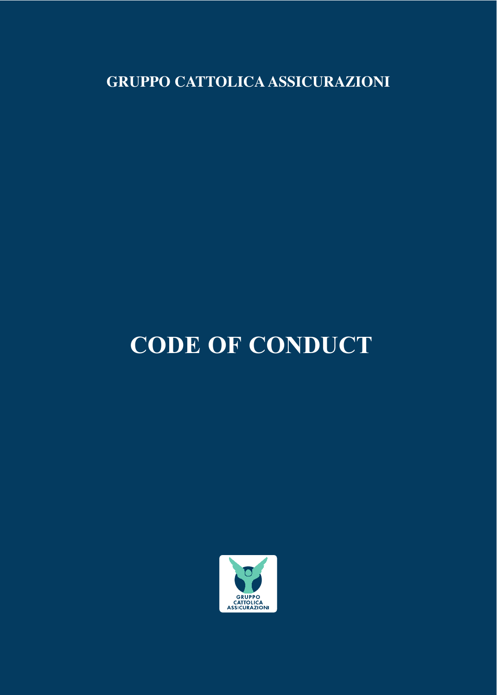**GRUPPO CATTOLICA ASSICURAZIONI**

# **CODE OF CONDUCT**

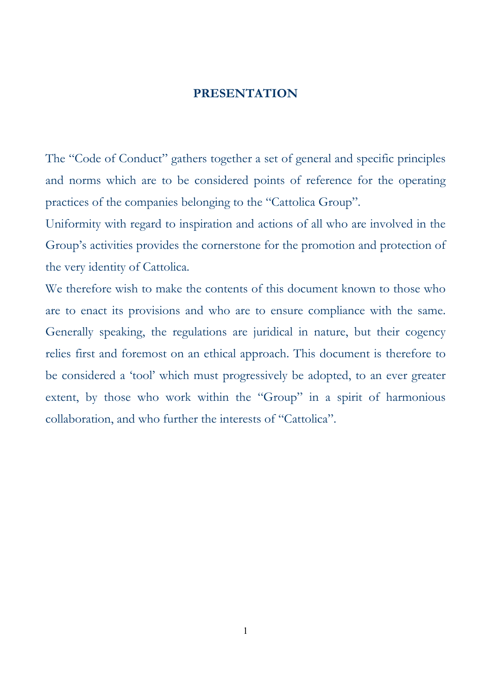#### **PRESENTATION**

The "Code of Conduct" gathers together a set of general and specific principles and norms which are to be considered points of reference for the operating practices of the companies belonging to the "Cattolica Group".

Uniformity with regard to inspiration and actions of all who are involved in the Group's activities provides the cornerstone for the promotion and protection of the very identity of Cattolica.

We therefore wish to make the contents of this document known to those who are to enact its provisions and who are to ensure compliance with the same. Generally speaking, the regulations are juridical in nature, but their cogency relies first and foremost on an ethical approach. This document is therefore to be considered a 'tool' which must progressively be adopted, to an ever greater extent, by those who work within the "Group" in a spirit of harmonious collaboration, and who further the interests of "Cattolica".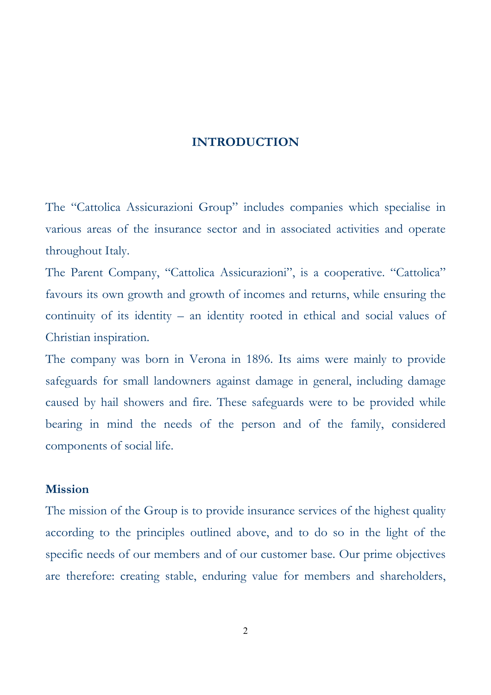## **INTRODUCTION**

The "Cattolica Assicurazioni Group" includes companies which specialise in various areas of the insurance sector and in associated activities and operate throughout Italy.

The Parent Company, "Cattolica Assicurazioni", is a cooperative. "Cattolica" favours its own growth and growth of incomes and returns, while ensuring the continuity of its identity – an identity rooted in ethical and social values of Christian inspiration.

The company was born in Verona in 1896. Its aims were mainly to provide safeguards for small landowners against damage in general, including damage caused by hail showers and fire. These safeguards were to be provided while bearing in mind the needs of the person and of the family, considered components of social life.

### **Mission**

The mission of the Group is to provide insurance services of the highest quality according to the principles outlined above, and to do so in the light of the specific needs of our members and of our customer base. Our prime objectives are therefore: creating stable, enduring value for members and shareholders,

2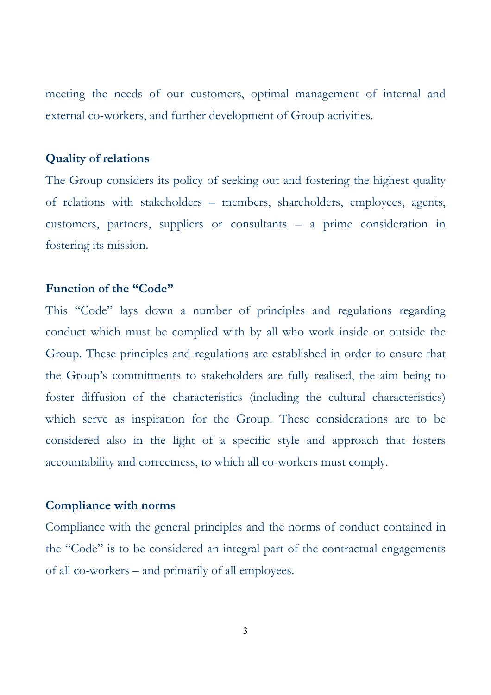meeting the needs of our customers, optimal management of internal and external co-workers, and further development of Group activities.

## **Quality of relations**

The Group considers its policy of seeking out and fostering the highest quality of relations with stakeholders – members, shareholders, employees, agents, customers, partners, suppliers or consultants – a prime consideration in fostering its mission.

## **Function of the "Code"**

This "Code" lays down a number of principles and regulations regarding conduct which must be complied with by all who work inside or outside the Group. These principles and regulations are established in order to ensure that the Group's commitments to stakeholders are fully realised, the aim being to foster diffusion of the characteristics (including the cultural characteristics) which serve as inspiration for the Group. These considerations are to be considered also in the light of a specific style and approach that fosters accountability and correctness, to which all co-workers must comply.

#### **Compliance with norms**

Compliance with the general principles and the norms of conduct contained in the "Code" is to be considered an integral part of the contractual engagements of all co-workers – and primarily of all employees.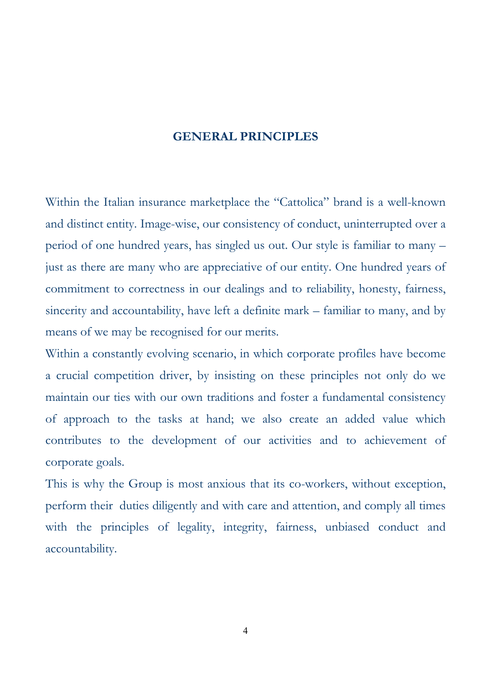#### **GENERAL PRINCIPLES**

Within the Italian insurance marketplace the "Cattolica" brand is a well-known and distinct entity. Image-wise, our consistency of conduct, uninterrupted over a period of one hundred years, has singled us out. Our style is familiar to many – just as there are many who are appreciative of our entity. One hundred years of commitment to correctness in our dealings and to reliability, honesty, fairness, sincerity and accountability, have left a definite mark – familiar to many, and by means of we may be recognised for our merits.

Within a constantly evolving scenario, in which corporate profiles have become a crucial competition driver, by insisting on these principles not only do we maintain our ties with our own traditions and foster a fundamental consistency of approach to the tasks at hand; we also create an added value which contributes to the development of our activities and to achievement of corporate goals.

This is why the Group is most anxious that its co-workers, without exception, perform their duties diligently and with care and attention, and comply all times with the principles of legality, integrity, fairness, unbiased conduct and accountability.

4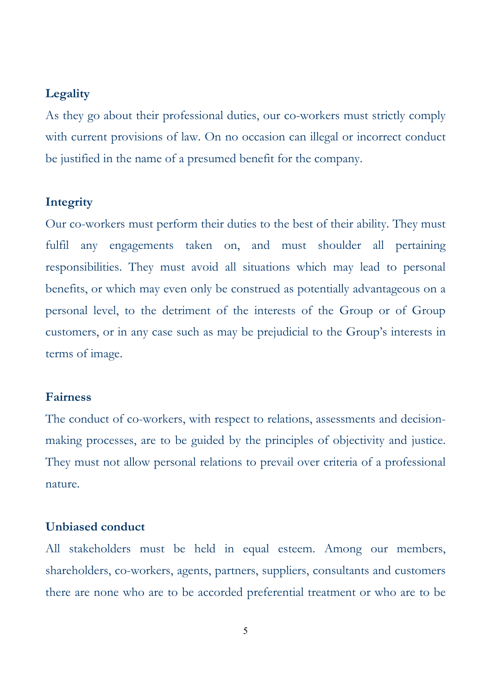#### **Legality**

As they go about their professional duties, our co-workers must strictly comply with current provisions of law. On no occasion can illegal or incorrect conduct be justified in the name of a presumed benefit for the company.

### **Integrity**

Our co-workers must perform their duties to the best of their ability. They must fulfil any engagements taken on, and must shoulder all pertaining responsibilities. They must avoid all situations which may lead to personal benefits, or which may even only be construed as potentially advantageous on a personal level, to the detriment of the interests of the Group or of Group customers, or in any case such as may be prejudicial to the Group's interests in terms of image.

## **Fairness**

The conduct of co-workers, with respect to relations, assessments and decisionmaking processes, are to be guided by the principles of objectivity and justice. They must not allow personal relations to prevail over criteria of a professional nature.

#### **Unbiased conduct**

All stakeholders must be held in equal esteem. Among our members, shareholders, co-workers, agents, partners, suppliers, consultants and customers there are none who are to be accorded preferential treatment or who are to be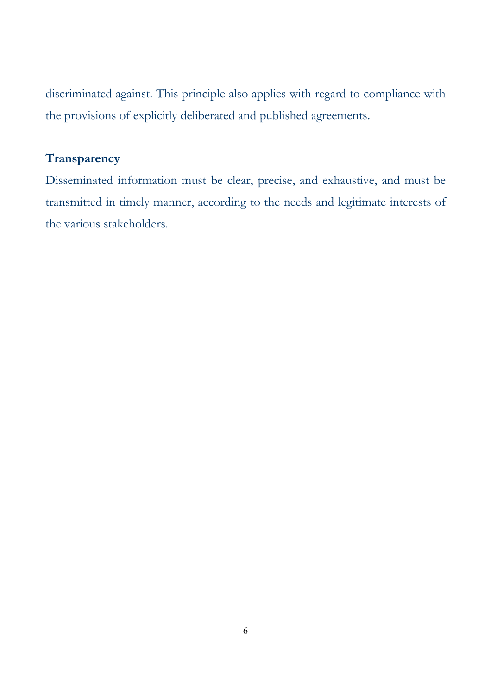discriminated against. This principle also applies with regard to compliance with the provisions of explicitly deliberated and published agreements.

# **Transparency**

Disseminated information must be clear, precise, and exhaustive, and must be transmitted in timely manner, according to the needs and legitimate interests of the various stakeholders.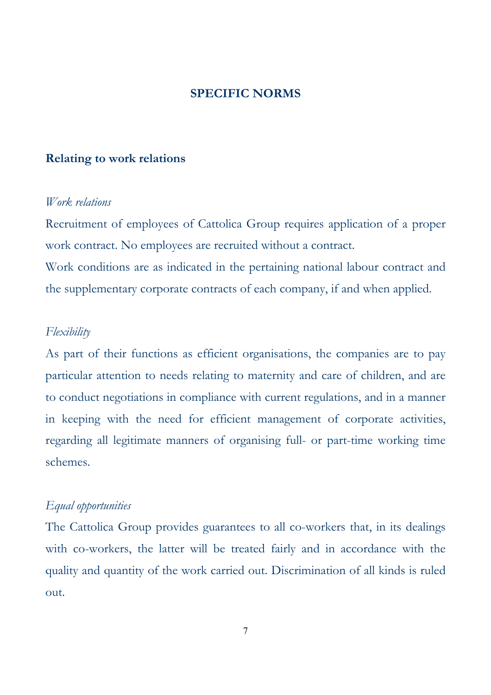#### **SPECIFIC NORMS**

### **Relating to work relations**

#### *Work relations*

Recruitment of employees of Cattolica Group requires application of a proper work contract. No employees are recruited without a contract. Work conditions are as indicated in the pertaining national labour contract and the supplementary corporate contracts of each company, if and when applied.

## *Flexibility*

As part of their functions as efficient organisations, the companies are to pay particular attention to needs relating to maternity and care of children, and are to conduct negotiations in compliance with current regulations, and in a manner in keeping with the need for efficient management of corporate activities, regarding all legitimate manners of organising full- or part-time working time schemes.

## *Equal opportunities*

The Cattolica Group provides guarantees to all co-workers that, in its dealings with co-workers, the latter will be treated fairly and in accordance with the quality and quantity of the work carried out. Discrimination of all kinds is ruled out.

7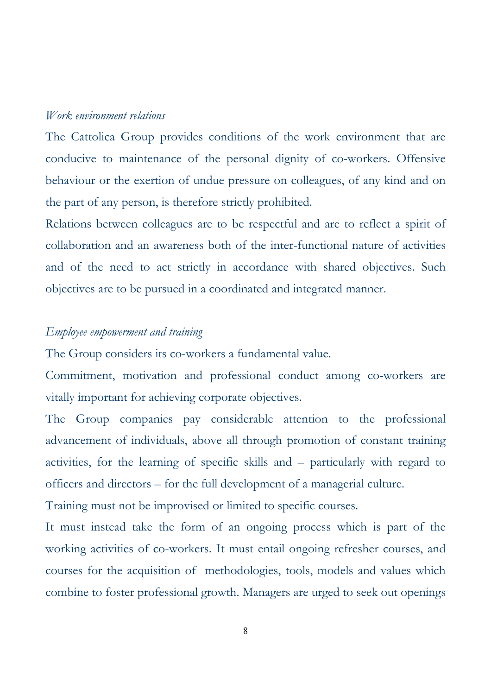#### *Work environment relations*

The Cattolica Group provides conditions of the work environment that are conducive to maintenance of the personal dignity of co-workers. Offensive behaviour or the exertion of undue pressure on colleagues, of any kind and on the part of any person, is therefore strictly prohibited.

Relations between colleagues are to be respectful and are to reflect a spirit of collaboration and an awareness both of the inter-functional nature of activities and of the need to act strictly in accordance with shared objectives. Such objectives are to be pursued in a coordinated and integrated manner.

## *Employee empowerment and training*

The Group considers its co-workers a fundamental value.

Commitment, motivation and professional conduct among co-workers are vitally important for achieving corporate objectives.

The Group companies pay considerable attention to the professional advancement of individuals, above all through promotion of constant training activities, for the learning of specific skills and – particularly with regard to officers and directors – for the full development of a managerial culture.

Training must not be improvised or limited to specific courses.

It must instead take the form of an ongoing process which is part of the working activities of co-workers. It must entail ongoing refresher courses, and courses for the acquisition of methodologies, tools, models and values which combine to foster professional growth. Managers are urged to seek out openings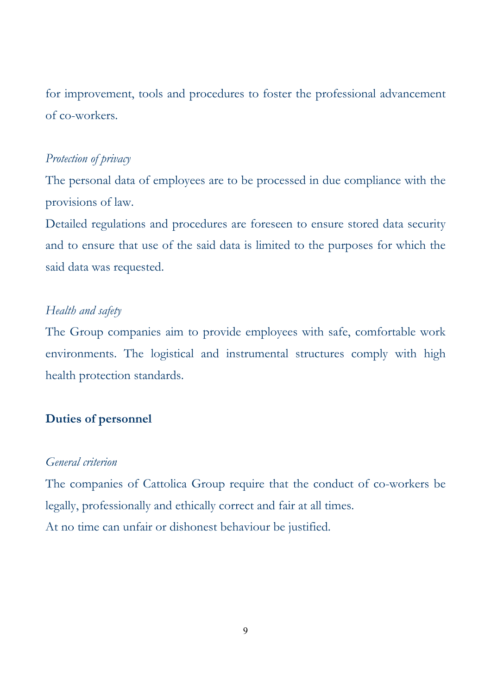for improvement, tools and procedures to foster the professional advancement of co-workers.

## *Protection of privacy*

The personal data of employees are to be processed in due compliance with the provisions of law.

Detailed regulations and procedures are foreseen to ensure stored data security and to ensure that use of the said data is limited to the purposes for which the said data was requested.

## *Health and safety*

The Group companies aim to provide employees with safe, comfortable work environments. The logistical and instrumental structures comply with high health protection standards.

## **Duties of personnel**

### *General criterion*

The companies of Cattolica Group require that the conduct of co-workers be legally, professionally and ethically correct and fair at all times. At no time can unfair or dishonest behaviour be justified.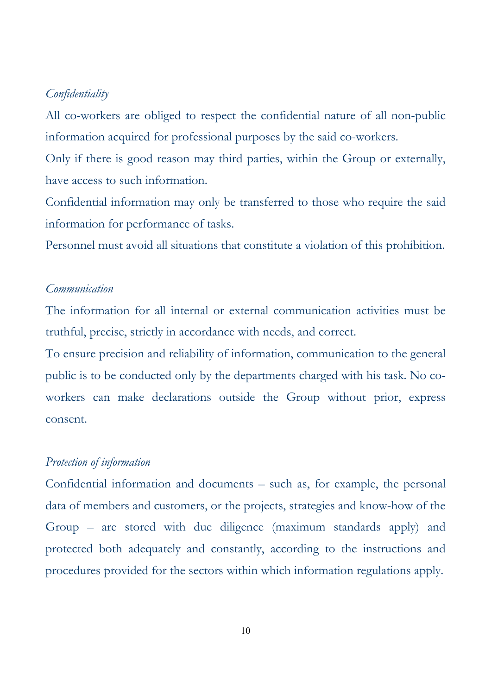#### *Confidentiality*

All co-workers are obliged to respect the confidential nature of all non-public information acquired for professional purposes by the said co-workers.

Only if there is good reason may third parties, within the Group or externally, have access to such information.

Confidential information may only be transferred to those who require the said information for performance of tasks.

Personnel must avoid all situations that constitute a violation of this prohibition.

#### *Communication*

The information for all internal or external communication activities must be truthful, precise, strictly in accordance with needs, and correct.

To ensure precision and reliability of information, communication to the general public is to be conducted only by the departments charged with his task. No coworkers can make declarations outside the Group without prior, express consent.

#### *Protection of information*

Confidential information and documents – such as, for example, the personal data of members and customers, or the projects, strategies and know-how of the Group – are stored with due diligence (maximum standards apply) and protected both adequately and constantly, according to the instructions and procedures provided for the sectors within which information regulations apply.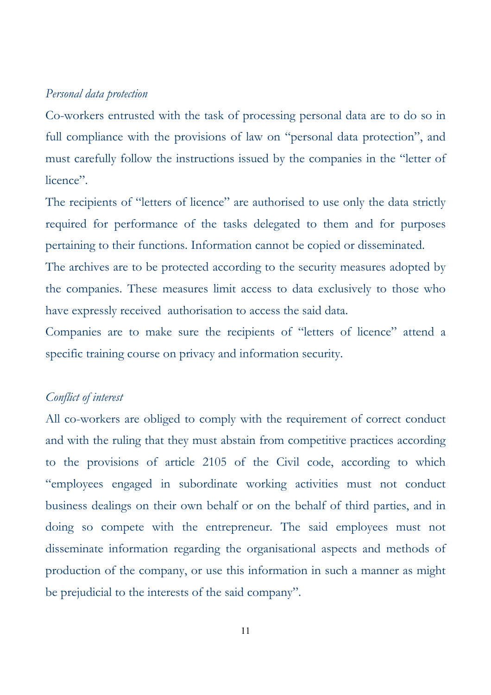#### *Personal data protection*

Co-workers entrusted with the task of processing personal data are to do so in full compliance with the provisions of law on "personal data protection", and must carefully follow the instructions issued by the companies in the "letter of licence".

The recipients of "letters of licence" are authorised to use only the data strictly required for performance of the tasks delegated to them and for purposes pertaining to their functions. Information cannot be copied or disseminated.

The archives are to be protected according to the security measures adopted by the companies. These measures limit access to data exclusively to those who have expressly received authorisation to access the said data.

Companies are to make sure the recipients of "letters of licence" attend a specific training course on privacy and information security.

## *Conflict of interest*

All co-workers are obliged to comply with the requirement of correct conduct and with the ruling that they must abstain from competitive practices according to the provisions of article 2105 of the Civil code, according to which "employees engaged in subordinate working activities must not conduct business dealings on their own behalf or on the behalf of third parties, and in doing so compete with the entrepreneur. The said employees must not disseminate information regarding the organisational aspects and methods of production of the company, or use this information in such a manner as might be prejudicial to the interests of the said company".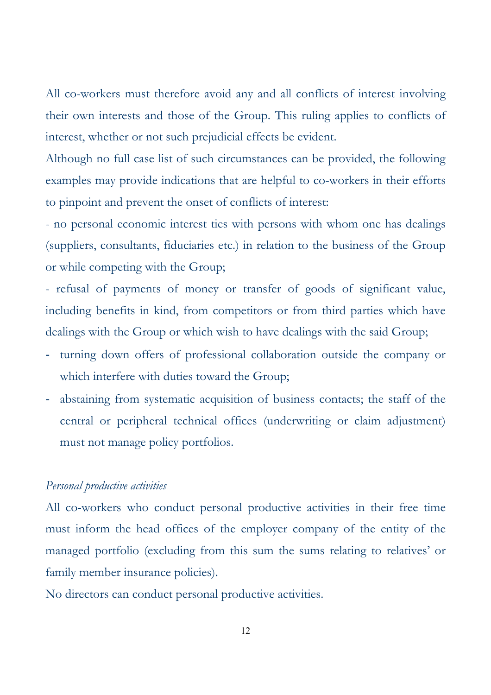All co-workers must therefore avoid any and all conflicts of interest involving their own interests and those of the Group. This ruling applies to conflicts of interest, whether or not such prejudicial effects be evident.

Although no full case list of such circumstances can be provided, the following examples may provide indications that are helpful to co-workers in their efforts to pinpoint and prevent the onset of conflicts of interest:

- no personal economic interest ties with persons with whom one has dealings (suppliers, consultants, fiduciaries etc.) in relation to the business of the Group or while competing with the Group;

- refusal of payments of money or transfer of goods of significant value, including benefits in kind, from competitors or from third parties which have dealings with the Group or which wish to have dealings with the said Group;

- turning down offers of professional collaboration outside the company or which interfere with duties toward the Group;
- abstaining from systematic acquisition of business contacts; the staff of the central or peripheral technical offices (underwriting or claim adjustment) must not manage policy portfolios.

## *Personal productive activities*

All co-workers who conduct personal productive activities in their free time must inform the head offices of the employer company of the entity of the managed portfolio (excluding from this sum the sums relating to relatives' or family member insurance policies).

No directors can conduct personal productive activities.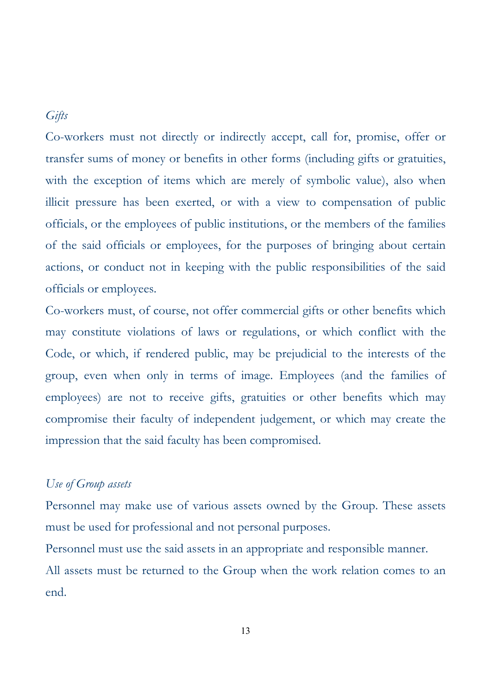# *Gifts*

Co-workers must not directly or indirectly accept, call for, promise, offer or transfer sums of money or benefits in other forms (including gifts or gratuities, with the exception of items which are merely of symbolic value), also when illicit pressure has been exerted, or with a view to compensation of public officials, or the employees of public institutions, or the members of the families of the said officials or employees, for the purposes of bringing about certain actions, or conduct not in keeping with the public responsibilities of the said officials or employees.

Co-workers must, of course, not offer commercial gifts or other benefits which may constitute violations of laws or regulations, or which conflict with the Code, or which, if rendered public, may be prejudicial to the interests of the group, even when only in terms of image. Employees (and the families of employees) are not to receive gifts, gratuities or other benefits which may compromise their faculty of independent judgement, or which may create the impression that the said faculty has been compromised.

## *Use of Group assets*

Personnel may make use of various assets owned by the Group. These assets must be used for professional and not personal purposes.

Personnel must use the said assets in an appropriate and responsible manner. All assets must be returned to the Group when the work relation comes to an end.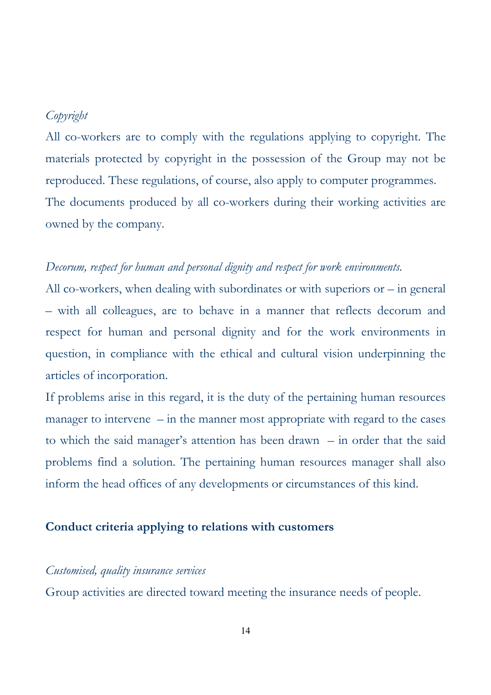## *Copyright*

All co-workers are to comply with the regulations applying to copyright. The materials protected by copyright in the possession of the Group may not be reproduced. These regulations, of course, also apply to computer programmes. The documents produced by all co-workers during their working activities are owned by the company.

## *Decorum, respect for human and personal dignity and respect for work environments.*

All co-workers, when dealing with subordinates or with superiors or – in general – with all colleagues, are to behave in a manner that reflects decorum and respect for human and personal dignity and for the work environments in question, in compliance with the ethical and cultural vision underpinning the articles of incorporation.

If problems arise in this regard, it is the duty of the pertaining human resources manager to intervene – in the manner most appropriate with regard to the cases to which the said manager's attention has been drawn – in order that the said problems find a solution. The pertaining human resources manager shall also inform the head offices of any developments or circumstances of this kind.

#### **Conduct criteria applying to relations with customers**

#### *Customised, quality insurance services*

Group activities are directed toward meeting the insurance needs of people.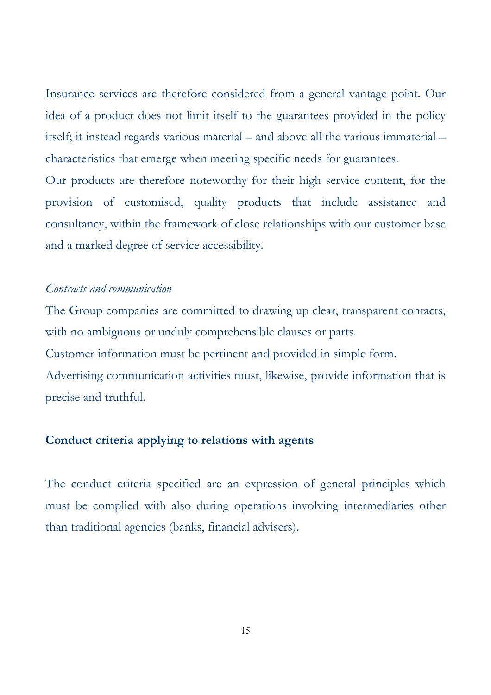Insurance services are therefore considered from a general vantage point. Our idea of a product does not limit itself to the guarantees provided in the policy itself; it instead regards various material – and above all the various immaterial – characteristics that emerge when meeting specific needs for guarantees.

Our products are therefore noteworthy for their high service content, for the provision of customised, quality products that include assistance and consultancy, within the framework of close relationships with our customer base and a marked degree of service accessibility.

## *Contracts and communication*

The Group companies are committed to drawing up clear, transparent contacts, with no ambiguous or unduly comprehensible clauses or parts.

Customer information must be pertinent and provided in simple form.

Advertising communication activities must, likewise, provide information that is precise and truthful.

## **Conduct criteria applying to relations with agents**

The conduct criteria specified are an expression of general principles which must be complied with also during operations involving intermediaries other than traditional agencies (banks, financial advisers).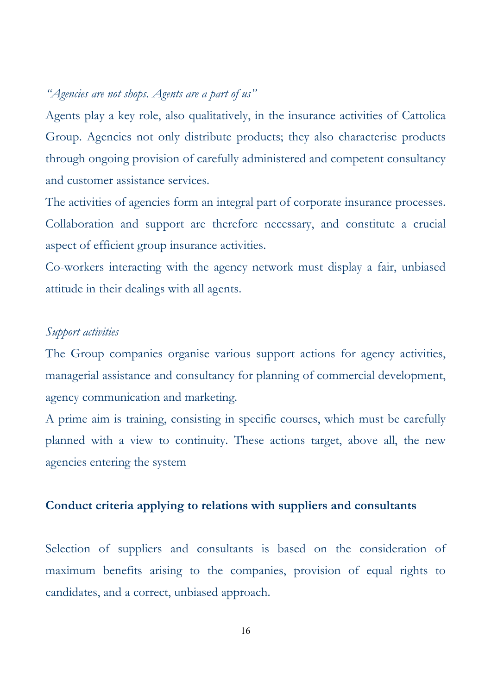## *"Agencies are not shops. Agents are a part of us"*

Agents play a key role, also qualitatively, in the insurance activities of Cattolica Group. Agencies not only distribute products; they also characterise products through ongoing provision of carefully administered and competent consultancy and customer assistance services.

The activities of agencies form an integral part of corporate insurance processes. Collaboration and support are therefore necessary, and constitute a crucial aspect of efficient group insurance activities.

Co-workers interacting with the agency network must display a fair, unbiased attitude in their dealings with all agents.

# *Support activities*

The Group companies organise various support actions for agency activities, managerial assistance and consultancy for planning of commercial development, agency communication and marketing.

A prime aim is training, consisting in specific courses, which must be carefully planned with a view to continuity. These actions target, above all, the new agencies entering the system

## **Conduct criteria applying to relations with suppliers and consultants**

Selection of suppliers and consultants is based on the consideration of maximum benefits arising to the companies, provision of equal rights to candidates, and a correct, unbiased approach.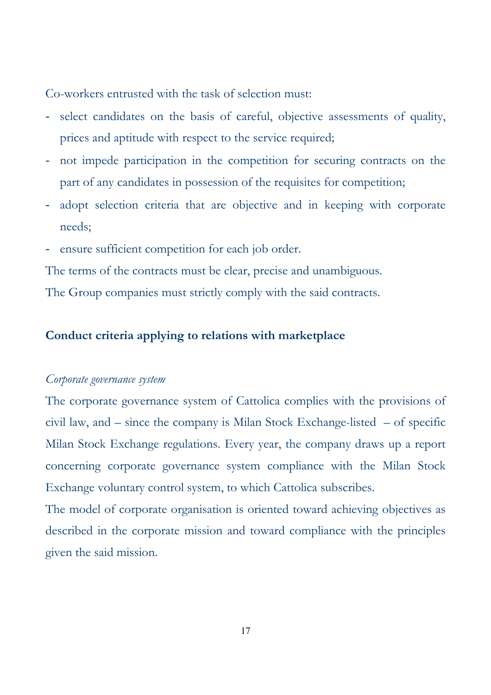Co-workers entrusted with the task of selection must:

- select candidates on the basis of careful, objective assessments of quality, prices and aptitude with respect to the service required;
- not impede participation in the competition for securing contracts on the part of any candidates in possession of the requisites for competition;
- adopt selection criteria that are objective and in keeping with corporate needs;
- ensure sufficient competition for each job order.

The terms of the contracts must be clear, precise and unambiguous.

The Group companies must strictly comply with the said contracts.

## **Conduct criteria applying to relations with marketplace**

#### *Corporate governance system*

The corporate governance system of Cattolica complies with the provisions of civil law, and – since the company is Milan Stock Exchange-listed – of specific Milan Stock Exchange regulations. Every year, the company draws up a report concerning corporate governance system compliance with the Milan Stock Exchange voluntary control system, to which Cattolica subscribes.

The model of corporate organisation is oriented toward achieving objectives as described in the corporate mission and toward compliance with the principles given the said mission.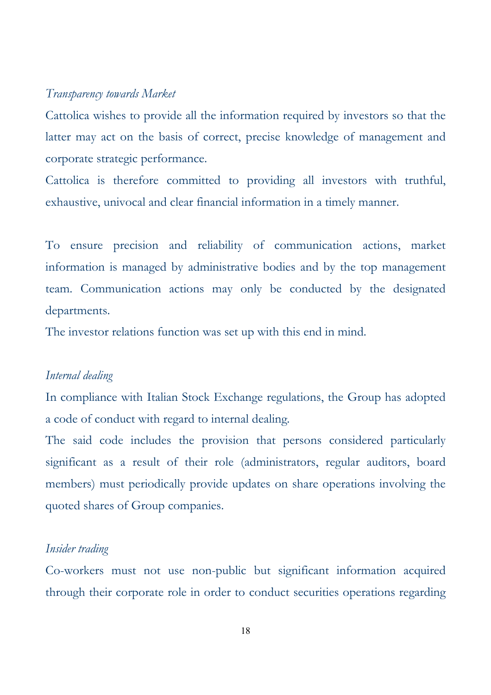#### *Transparency towards Market*

Cattolica wishes to provide all the information required by investors so that the latter may act on the basis of correct, precise knowledge of management and corporate strategic performance.

Cattolica is therefore committed to providing all investors with truthful, exhaustive, univocal and clear financial information in a timely manner.

To ensure precision and reliability of communication actions, market information is managed by administrative bodies and by the top management team. Communication actions may only be conducted by the designated departments.

The investor relations function was set up with this end in mind.

#### *Internal dealing*

In compliance with Italian Stock Exchange regulations, the Group has adopted a code of conduct with regard to internal dealing*.*

The said code includes the provision that persons considered particularly significant as a result of their role (administrators, regular auditors, board members) must periodically provide updates on share operations involving the quoted shares of Group companies.

#### *Insider trading*

Co-workers must not use non-public but significant information acquired through their corporate role in order to conduct securities operations regarding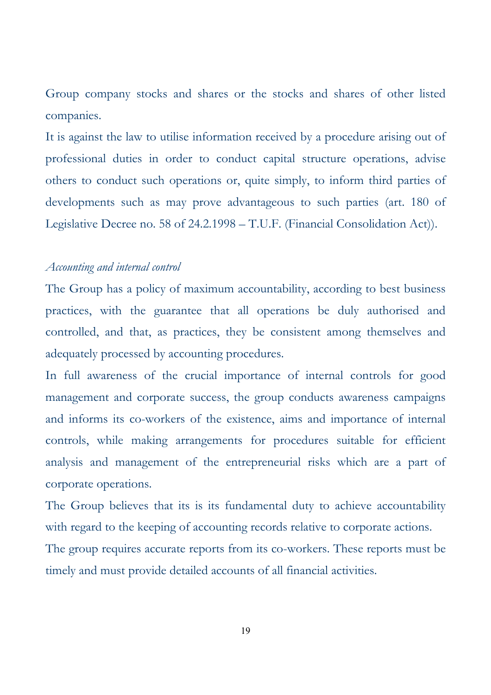Group company stocks and shares or the stocks and shares of other listed companies.

It is against the law to utilise information received by a procedure arising out of professional duties in order to conduct capital structure operations, advise others to conduct such operations or, quite simply, to inform third parties of developments such as may prove advantageous to such parties (art. 180 of Legislative Decree no. 58 of 24.2.1998 – T.U.F. (Financial Consolidation Act)).

## *Accounting and internal control*

The Group has a policy of maximum accountability, according to best business practices, with the guarantee that all operations be duly authorised and controlled, and that, as practices, they be consistent among themselves and adequately processed by accounting procedures.

In full awareness of the crucial importance of internal controls for good management and corporate success, the group conducts awareness campaigns and informs its co-workers of the existence, aims and importance of internal controls, while making arrangements for procedures suitable for efficient analysis and management of the entrepreneurial risks which are a part of corporate operations.

The Group believes that its is its fundamental duty to achieve accountability with regard to the keeping of accounting records relative to corporate actions.

The group requires accurate reports from its co-workers. These reports must be timely and must provide detailed accounts of all financial activities.

19